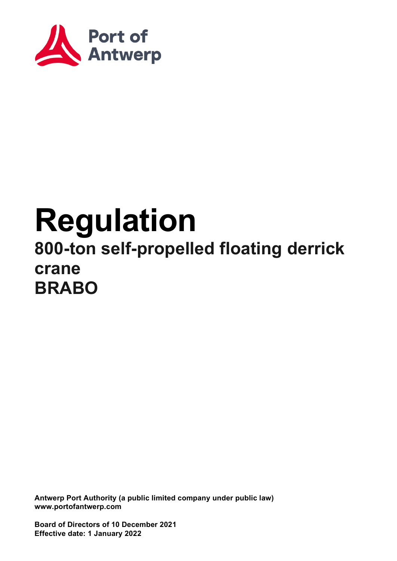

# **Regulation 800-ton self-propelled floating derrick crane BRABO**

**Antwerp Port Authority (a public limited company under public law) www.portofantwerp.com**

**Board of Directors of 10 December 2021 Effective date: 1 January 2022**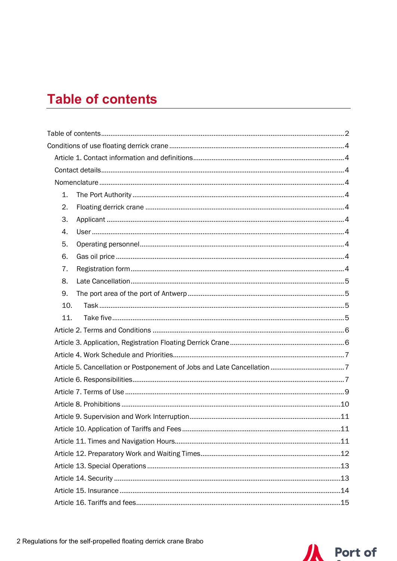## <span id="page-1-0"></span>**Table of contents**

| 1.  |  |
|-----|--|
| 2.  |  |
| 3.  |  |
| 4.  |  |
| 5.  |  |
| 6.  |  |
| 7.  |  |
| 8.  |  |
| 9.  |  |
| 10. |  |
| 11. |  |
|     |  |
|     |  |
|     |  |
|     |  |
|     |  |
|     |  |
|     |  |
|     |  |
|     |  |
|     |  |
|     |  |
|     |  |
|     |  |
|     |  |
|     |  |

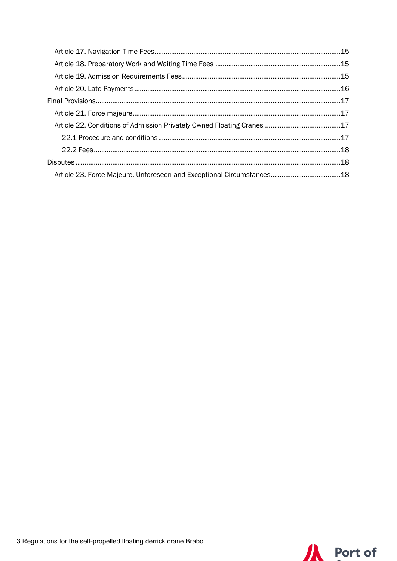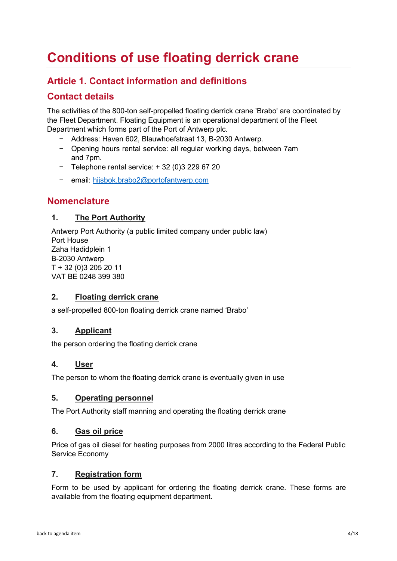## <span id="page-3-0"></span>**Conditions of use floating derrick crane**

## <span id="page-3-1"></span>**Article 1. Contact information and definitions**

## <span id="page-3-2"></span>**Contact details**

The activities of the 800-ton self-propelled floating derrick crane 'Brabo' are coordinated by the Fleet Department. Floating Equipment is an operational department of the Fleet Department which forms part of the Port of Antwerp plc.

- − Address: Haven 602, Blauwhoefstraat 13, B-2030 Antwerp.
- − Opening hours rental service: all regular working days, between 7am and 7pm.
- − Telephone rental service: + 32 (0)3 229 67 20
- − email: [hijsbok.brabo2@portofantwerp.com](mailto:%20hijsbok.brabo2@portofantwerp.com)

#### <span id="page-3-3"></span>**Nomenclature**

#### <span id="page-3-4"></span>**1. The Port Authority**

Antwerp Port Authority (a public limited company under public law) Port House Zaha Hadidplein 1 B-2030 Antwerp T + 32 (0)3 205 20 11 VAT BE 0248 399 380

#### <span id="page-3-5"></span>**2. Floating derrick crane**

a self-propelled 800-ton floating derrick crane named 'Brabo'

#### <span id="page-3-6"></span>**3. Applicant**

the person ordering the floating derrick crane

#### <span id="page-3-7"></span>**4. User**

The person to whom the floating derrick crane is eventually given in use

#### <span id="page-3-8"></span>**5. Operating personnel**

The Port Authority staff manning and operating the floating derrick crane

#### <span id="page-3-9"></span>**6. Gas oil price**

Price of gas oil diesel for heating purposes from 2000 litres according to the Federal Public Service Economy

#### <span id="page-3-10"></span>**7. Registration form**

Form to be used by applicant for ordering the floating derrick crane. These forms are available from the floating equipment department.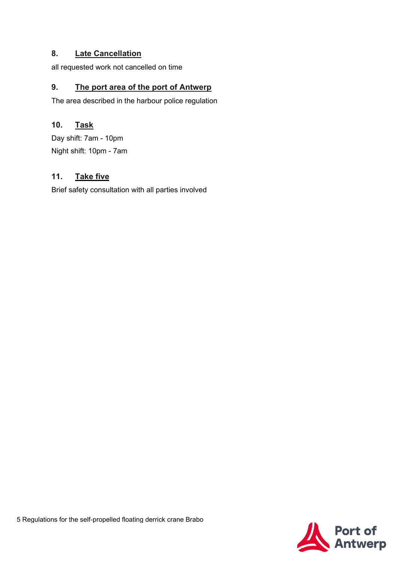#### <span id="page-4-0"></span>**8. Late Cancellation**

all requested work not cancelled on time

#### <span id="page-4-1"></span>**9. The port area of the port of Antwerp**

The area described in the harbour police regulation

#### <span id="page-4-2"></span>**10.**- **Task**

Day shift: 7am - 10pm Night shift: 10pm - 7am

#### <span id="page-4-3"></span>**11. Take five**

Brief safety consultation with all parties involved

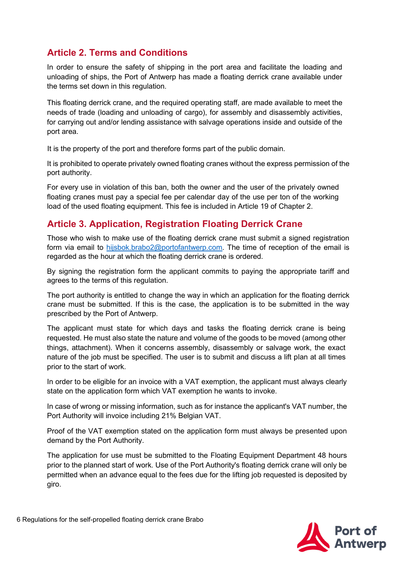## <span id="page-5-0"></span>**Article 2. Terms and Conditions**

In order to ensure the safety of shipping in the port area and facilitate the loading and unloading of ships, the Port of Antwerp has made a floating derrick crane available under the terms set down in this regulation.

This floating derrick crane, and the required operating staff, are made available to meet the needs of trade (loading and unloading of cargo), for assembly and disassembly activities, for carrying out and/or lending assistance with salvage operations inside and outside of the port area.

It is the property of the port and therefore forms part of the public domain.

It is prohibited to operate privately owned floating cranes without the express permission of the port authority.

For every use in violation of this ban, both the owner and the user of the privately owned floating cranes must pay a special fee per calendar day of the use per ton of the working load of the used floating equipment. This fee is included in Article 19 of Chapter 2.

#### <span id="page-5-1"></span>**Article 3. Application, Registration Floating Derrick Crane**

Those who wish to make use of the floating derrick crane must submit a signed registration form via email to [hijsbok.brabo2@portofantwerp.com.](mailto:hijsbok.brabo2@portofantwerp.com) The time of reception of the email is regarded as the hour at which the floating derrick crane is ordered.

By signing the registration form the applicant commits to paying the appropriate tariff and agrees to the terms of this regulation.

The port authority is entitled to change the way in which an application for the floating derrick crane must be submitted. If this is the case, the application is to be submitted in the way prescribed by the Port of Antwerp.

The applicant must state for which days and tasks the floating derrick crane is being requested. He must also state the nature and volume of the goods to be moved (among other things, attachment). When it concerns assembly, disassembly or salvage work, the exact nature of the job must be specified. The user is to submit and discuss a lift plan at all times prior to the start of work.

In order to be eligible for an invoice with a VAT exemption, the applicant must always clearly state on the application form which VAT exemption he wants to invoke.

In case of wrong or missing information, such as for instance the applicant's VAT number, the Port Authority will invoice including 21% Belgian VAT.

Proof of the VAT exemption stated on the application form must always be presented upon demand by the Port Authority.

The application for use must be submitted to the Floating Equipment Department 48 hours prior to the planned start of work. Use of the Port Authority's floating derrick crane will only be permitted when an advance equal to the fees due for the lifting job requested is deposited by giro.



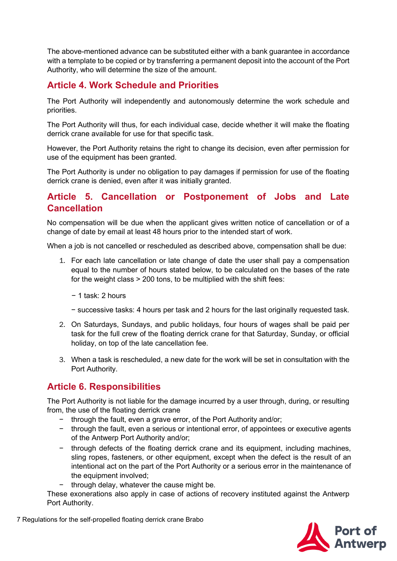The above-mentioned advance can be substituted either with a bank guarantee in accordance with a template to be copied or by transferring a permanent deposit into the account of the Port Authority, who will determine the size of the amount.

## <span id="page-6-0"></span>**Article 4. Work Schedule and Priorities**

The Port Authority will independently and autonomously determine the work schedule and priorities.

The Port Authority will thus, for each individual case, decide whether it will make the floating derrick crane available for use for that specific task.

However, the Port Authority retains the right to change its decision, even after permission for use of the equipment has been granted.

The Port Authority is under no obligation to pay damages if permission for use of the floating derrick crane is denied, even after it was initially granted.

#### <span id="page-6-1"></span>**Article 5. Cancellation or Postponement of Jobs and Late Cancellation**

No compensation will be due when the applicant gives written notice of cancellation or of a change of date by email at least 48 hours prior to the intended start of work.

When a job is not cancelled or rescheduled as described above, compensation shall be due:

- 1. For each late cancellation or late change of date the user shall pay a compensation equal to the number of hours stated below, to be calculated on the bases of the rate for the weight class > 200 tons, to be multiplied with the shift fees:
	- − 1 task: 2 hours
	- − successive tasks: 4 hours per task and 2 hours for the last originally requested task.
- 2. On Saturdays, Sundays, and public holidays, four hours of wages shall be paid per task for the full crew of the floating derrick crane for that Saturday, Sunday, or official holiday, on top of the late cancellation fee.
- 3. When a task is rescheduled, a new date for the work will be set in consultation with the Port Authority.

#### <span id="page-6-2"></span>**Article 6. Responsibilities**

The Port Authority is not liable for the damage incurred by a user through, during, or resulting from, the use of the floating derrick crane

- − through the fault, even a grave error, of the Port Authority and/or;
- − through the fault, even a serious or intentional error, of appointees or executive agents of the Antwerp Port Authority and/or;
- − through defects of the floating derrick crane and its equipment, including machines, sling ropes, fasteners, or other equipment, except when the defect is the result of an intentional act on the part of the Port Authority or a serious error in the maintenance of the equipment involved;
- − through delay, whatever the cause might be.

These exonerations also apply in case of actions of recovery instituted against the Antwerp Port Authority.

7 Regulations for the self-propelled floating derrick crane Brabo

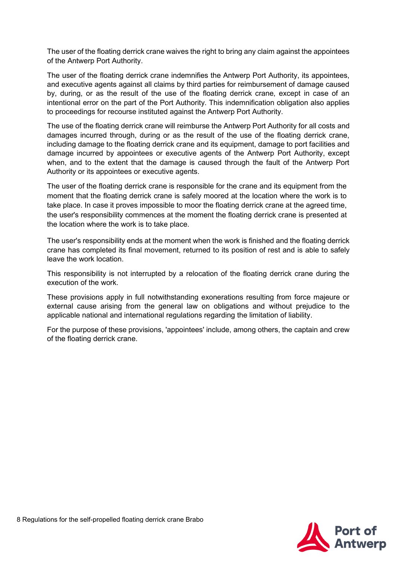The user of the floating derrick crane waives the right to bring any claim against the appointees of the Antwerp Port Authority.

The user of the floating derrick crane indemnifies the Antwerp Port Authority, its appointees, and executive agents against all claims by third parties for reimbursement of damage caused by, during, or as the result of the use of the floating derrick crane, except in case of an intentional error on the part of the Port Authority. This indemnification obligation also applies to proceedings for recourse instituted against the Antwerp Port Authority.

The use of the floating derrick crane will reimburse the Antwerp Port Authority for all costs and damages incurred through, during or as the result of the use of the floating derrick crane, including damage to the floating derrick crane and its equipment, damage to port facilities and damage incurred by appointees or executive agents of the Antwerp Port Authority, except when, and to the extent that the damage is caused through the fault of the Antwerp Port Authority or its appointees or executive agents.

The user of the floating derrick crane is responsible for the crane and its equipment from the moment that the floating derrick crane is safely moored at the location where the work is to take place. In case it proves impossible to moor the floating derrick crane at the agreed time, the user's responsibility commences at the moment the floating derrick crane is presented at the location where the work is to take place.

The user's responsibility ends at the moment when the work is finished and the floating derrick crane has completed its final movement, returned to its position of rest and is able to safely leave the work location.

This responsibility is not interrupted by a relocation of the floating derrick crane during the execution of the work.

These provisions apply in full notwithstanding exonerations resulting from force majeure or external cause arising from the general law on obligations and without prejudice to the applicable national and international regulations regarding the limitation of liability.

For the purpose of these provisions, 'appointees' include, among others, the captain and crew of the floating derrick crane.

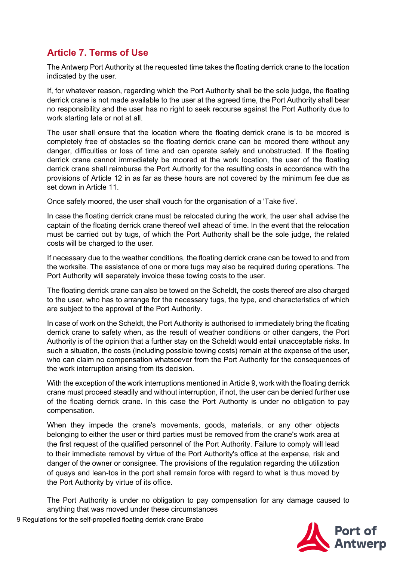## <span id="page-8-0"></span>**Article 7. Terms of Use**

The Antwerp Port Authority at the requested time takes the floating derrick crane to the location indicated by the user.

If, for whatever reason, regarding which the Port Authority shall be the sole judge, the floating derrick crane is not made available to the user at the agreed time, the Port Authority shall bear no responsibility and the user has no right to seek recourse against the Port Authority due to work starting late or not at all.

The user shall ensure that the location where the floating derrick crane is to be moored is completely free of obstacles so the floating derrick crane can be moored there without any danger, difficulties or loss of time and can operate safely and unobstructed. If the floating derrick crane cannot immediately be moored at the work location, the user of the floating derrick crane shall reimburse the Port Authority for the resulting costs in accordance with the provisions of Article 12 in as far as these hours are not covered by the minimum fee due as set down in Article 11.

Once safely moored, the user shall vouch for the organisation of a 'Take five'.

In case the floating derrick crane must be relocated during the work, the user shall advise the captain of the floating derrick crane thereof well ahead of time. In the event that the relocation must be carried out by tugs, of which the Port Authority shall be the sole judge, the related costs will be charged to the user.

If necessary due to the weather conditions, the floating derrick crane can be towed to and from the worksite. The assistance of one or more tugs may also be required during operations. The Port Authority will separately invoice these towing costs to the user.

The floating derrick crane can also be towed on the Scheldt, the costs thereof are also charged to the user, who has to arrange for the necessary tugs, the type, and characteristics of which are subject to the approval of the Port Authority.

In case of work on the Scheldt, the Port Authority is authorised to immediately bring the floating derrick crane to safety when, as the result of weather conditions or other dangers, the Port Authority is of the opinion that a further stay on the Scheldt would entail unacceptable risks. In such a situation, the costs (including possible towing costs) remain at the expense of the user, who can claim no compensation whatsoever from the Port Authority for the consequences of the work interruption arising from its decision.

With the exception of the work interruptions mentioned in Article 9, work with the floating derrick crane must proceed steadily and without interruption, if not, the user can be denied further use of the floating derrick crane. In this case the Port Authority is under no obligation to pay compensation.

When they impede the crane's movements, goods, materials, or any other objects belonging to either the user or third parties must be removed from the crane's work area at the first request of the qualified personnel of the Port Authority. Failure to comply will lead to their immediate removal by virtue of the Port Authority's office at the expense, risk and danger of the owner or consignee. The provisions of the regulation regarding the utilization of quays and lean-tos in the port shall remain force with regard to what is thus moved by the Port Authority by virtue of its office.

The Port Authority is under no obligation to pay compensation for any damage caused to anything that was moved under these circumstances



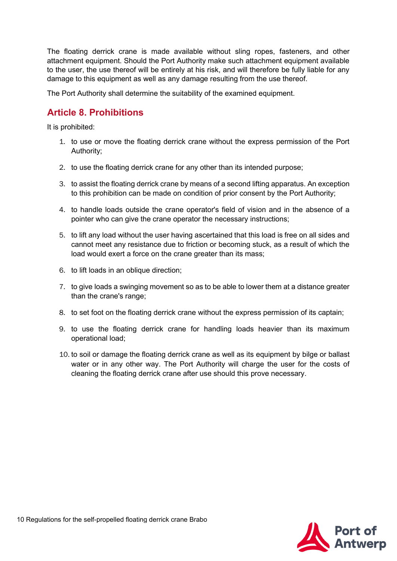The floating derrick crane is made available without sling ropes, fasteners, and other attachment equipment. Should the Port Authority make such attachment equipment available to the user, the use thereof will be entirely at his risk, and will therefore be fully liable for any damage to this equipment as well as any damage resulting from the use thereof.

The Port Authority shall determine the suitability of the examined equipment.

## <span id="page-9-0"></span>**Article 8. Prohibitions**

It is prohibited:

- 1. to use or move the floating derrick crane without the express permission of the Port Authority;
- 2. to use the floating derrick crane for any other than its intended purpose;
- 3. to assist the floating derrick crane by means of a second lifting apparatus. An exception to this prohibition can be made on condition of prior consent by the Port Authority;
- 4. to handle loads outside the crane operator's field of vision and in the absence of a pointer who can give the crane operator the necessary instructions;
- 5. to lift any load without the user having ascertained that this load is free on all sides and cannot meet any resistance due to friction or becoming stuck, as a result of which the load would exert a force on the crane greater than its mass;
- 6. to lift loads in an oblique direction;
- 7. to give loads a swinging movement so as to be able to lower them at a distance greater than the crane's range;
- 8. to set foot on the floating derrick crane without the express permission of its captain;
- 9. to use the floating derrick crane for handling loads heavier than its maximum operational load;
- 10. to soil or damage the floating derrick crane as well as its equipment by bilge or ballast water or in any other way. The Port Authority will charge the user for the costs of cleaning the floating derrick crane after use should this prove necessary.

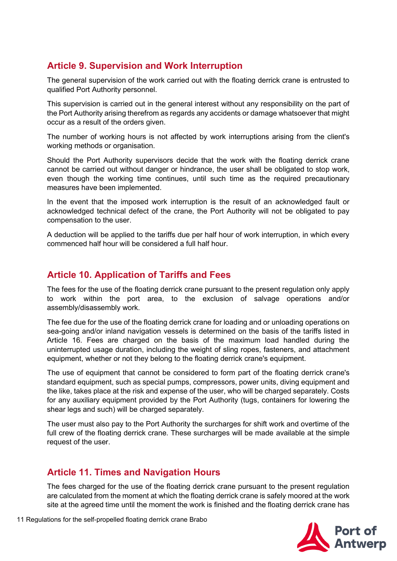## <span id="page-10-0"></span>**Article 9. Supervision and Work Interruption**

The general supervision of the work carried out with the floating derrick crane is entrusted to qualified Port Authority personnel.

This supervision is carried out in the general interest without any responsibility on the part of the Port Authority arising therefrom as regards any accidents or damage whatsoever that might occur as a result of the orders given.

The number of working hours is not affected by work interruptions arising from the client's working methods or organisation.

Should the Port Authority supervisors decide that the work with the floating derrick crane cannot be carried out without danger or hindrance, the user shall be obligated to stop work, even though the working time continues, until such time as the required precautionary measures have been implemented.

In the event that the imposed work interruption is the result of an acknowledged fault or acknowledged technical defect of the crane, the Port Authority will not be obligated to pay compensation to the user.

A deduction will be applied to the tariffs due per half hour of work interruption, in which every commenced half hour will be considered a full half hour.

### <span id="page-10-1"></span>**Article 10. Application of Tariffs and Fees**

The fees for the use of the floating derrick crane pursuant to the present regulation only apply to work within the port area, to the exclusion of salvage operations and/or assembly/disassembly work.

The fee due for the use of the floating derrick crane for loading and or unloading operations on sea-going and/or inland navigation vessels is determined on the basis of the tariffs listed in Article 16. Fees are charged on the basis of the maximum load handled during the uninterrupted usage duration, including the weight of sling ropes, fasteners, and attachment equipment, whether or not they belong to the floating derrick crane's equipment.

The use of equipment that cannot be considered to form part of the floating derrick crane's standard equipment, such as special pumps, compressors, power units, diving equipment and the like, takes place at the risk and expense of the user, who will be charged separately. Costs for any auxiliary equipment provided by the Port Authority (tugs, containers for lowering the shear legs and such) will be charged separately.

The user must also pay to the Port Authority the surcharges for shift work and overtime of the full crew of the floating derrick crane. These surcharges will be made available at the simple request of the user.

#### <span id="page-10-2"></span>**Article 11. Times and Navigation Hours**

The fees charged for the use of the floating derrick crane pursuant to the present regulation are calculated from the moment at which the floating derrick crane is safely moored at the work site at the agreed time until the moment the work is finished and the floating derrick crane has

11 Regulations for the self-propelled floating derrick crane Brabo

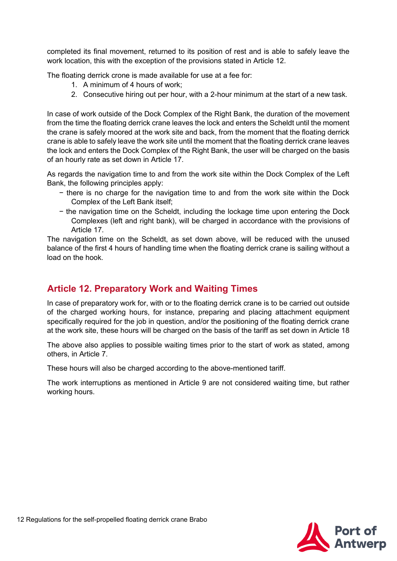completed its final movement, returned to its position of rest and is able to safely leave the work location, this with the exception of the provisions stated in Article 12.

The floating derrick crone is made available for use at a fee for:

- 1. A minimum of 4 hours of work;
- 2. Consecutive hiring out per hour, with a 2-hour minimum at the start of a new task.

In case of work outside of the Dock Complex of the Right Bank, the duration of the movement from the time the floating derrick crane leaves the lock and enters the Scheldt until the moment the crane is safely moored at the work site and back, from the moment that the floating derrick crane is able to safely leave the work site until the moment that the floating derrick crane leaves the lock and enters the Dock Complex of the Right Bank, the user will be charged on the basis of an hourly rate as set down in Article 17.

As regards the navigation time to and from the work site within the Dock Complex of the Left Bank, the following principles apply:

- − there is no charge for the navigation time to and from the work site within the Dock Complex of the Left Bank itself;
- − the navigation time on the Scheldt, including the lockage time upon entering the Dock Complexes (left and right bank), will be charged in accordance with the provisions of Article 17.

The navigation time on the Scheldt, as set down above, will be reduced with the unused balance of the first 4 hours of handling time when the floating derrick crane is sailing without a load on the hook.

#### <span id="page-11-0"></span>**Article 12. Preparatory Work and Waiting Times**

In case of preparatory work for, with or to the floating derrick crane is to be carried out outside of the charged working hours, for instance, preparing and placing attachment equipment specifically required for the job in question, and/or the positioning of the floating derrick crane at the work site, these hours will be charged on the basis of the tariff as set down in Article 18

The above also applies to possible waiting times prior to the start of work as stated, among others, in Article 7.

These hours will also be charged according to the above-mentioned tariff.

The work interruptions as mentioned in Article 9 are not considered waiting time, but rather working hours.

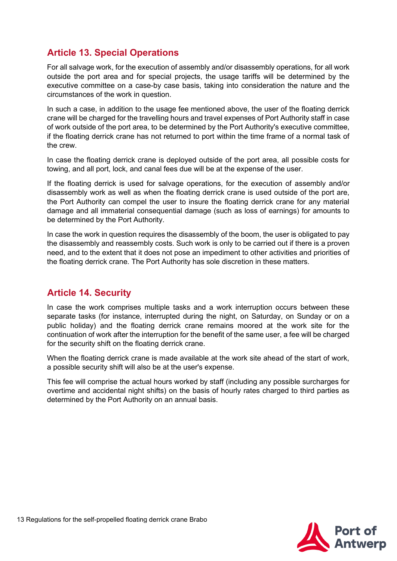## <span id="page-12-0"></span>**Article 13. Special Operations**

For all salvage work, for the execution of assembly and/or disassembly operations, for all work outside the port area and for special projects, the usage tariffs will be determined by the executive committee on a case-by case basis, taking into consideration the nature and the circumstances of the work in question.

In such a case, in addition to the usage fee mentioned above, the user of the floating derrick crane will be charged for the travelling hours and travel expenses of Port Authority staff in case of work outside of the port area, to be determined by the Port Authority's executive committee, if the floating derrick crane has not returned to port within the time frame of a normal task of the crew.

In case the floating derrick crane is deployed outside of the port area, all possible costs for towing, and all port, lock, and canal fees due will be at the expense of the user.

If the floating derrick is used for salvage operations, for the execution of assembly and/or disassembly work as well as when the floating derrick crane is used outside of the port are, the Port Authority can compel the user to insure the floating derrick crane for any material damage and all immaterial consequential damage (such as loss of earnings) for amounts to be determined by the Port Authority.

In case the work in question requires the disassembly of the boom, the user is obligated to pay the disassembly and reassembly costs. Such work is only to be carried out if there is a proven need, and to the extent that it does not pose an impediment to other activities and priorities of the floating derrick crane. The Port Authority has sole discretion in these matters.

#### <span id="page-12-1"></span>**Article 14. Security**

In case the work comprises multiple tasks and a work interruption occurs between these separate tasks (for instance, interrupted during the night, on Saturday, on Sunday or on a public holiday) and the floating derrick crane remains moored at the work site for the continuation of work after the interruption for the benefit of the same user, a fee will be charged for the security shift on the floating derrick crane.

When the floating derrick crane is made available at the work site ahead of the start of work, a possible security shift will also be at the user's expense.

This fee will comprise the actual hours worked by staff (including any possible surcharges for overtime and accidental night shifts) on the basis of hourly rates charged to third parties as determined by the Port Authority on an annual basis.

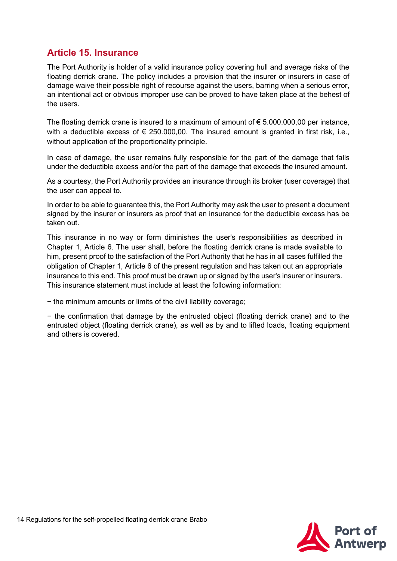## <span id="page-13-0"></span>**Article 15. Insurance**

The Port Authority is holder of a valid insurance policy covering hull and average risks of the floating derrick crane. The policy includes a provision that the insurer or insurers in case of damage waive their possible right of recourse against the users, barring when a serious error, an intentional act or obvious improper use can be proved to have taken place at the behest of the users.

The floating derrick crane is insured to a maximum of amount of  $\epsilon$  5.000.000,00 per instance, with a deductible excess of  $\epsilon$  250.000,00. The insured amount is granted in first risk, i.e., without application of the proportionality principle.

In case of damage, the user remains fully responsible for the part of the damage that falls under the deductible excess and/or the part of the damage that exceeds the insured amount.

As a courtesy, the Port Authority provides an insurance through its broker (user coverage) that the user can appeal to.

In order to be able to guarantee this, the Port Authority may ask the user to present a document signed by the insurer or insurers as proof that an insurance for the deductible excess has be taken out.

This insurance in no way or form diminishes the user's responsibilities as described in Chapter 1, Article 6. The user shall, before the floating derrick crane is made available to him, present proof to the satisfaction of the Port Authority that he has in all cases fulfilled the obligation of Chapter 1, Article 6 of the present regulation and has taken out an appropriate insurance to this end. This proof must be drawn up or signed by the user's insurer or insurers. This insurance statement must include at least the following information:

− the minimum amounts or limits of the civil liability coverage;

− the confirmation that damage by the entrusted object (floating derrick crane) and to the entrusted object (floating derrick crane), as well as by and to lifted loads, floating equipment and others is covered.

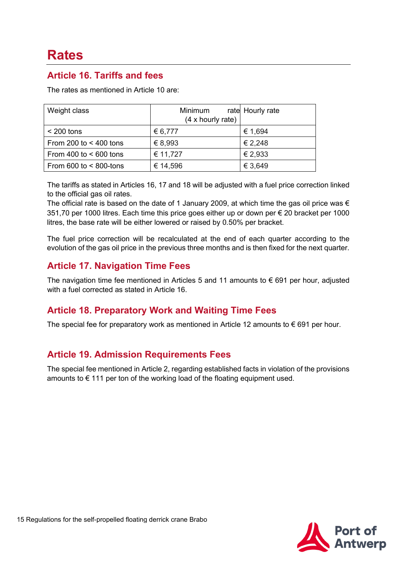## **Rates**

#### <span id="page-14-0"></span>**Article 16. Tariffs and fees**

The rates as mentioned in Article 10 are:

| Weight class                   | Minimum<br>(4 x hourly rate) | rate Hourly rate |
|--------------------------------|------------------------------|------------------|
| $<$ 200 tons                   | € 6,777                      | € 1,694          |
| From 200 to $<$ 400 tons       | € 8,993                      | € 2,248          |
| From 400 to $< 600$ tons       | € 11,727                     | € 2,933          |
| From $600$ to $\leq 800$ -tons | € 14,596                     | € 3,649          |

The tariffs as stated in Articles 16, 17 and 18 will be adjusted with a fuel price correction linked to the official gas oil rates.

The official rate is based on the date of 1 January 2009, at which time the gas oil price was  $\epsilon$ 351,70 per 1000 litres. Each time this price goes either up or down per € 20 bracket per 1000 litres, the base rate will be either lowered or raised by 0.50% per bracket.

The fuel price correction will be recalculated at the end of each quarter according to the evolution of the gas oil price in the previous three months and is then fixed for the next quarter.

## <span id="page-14-1"></span>**Article 17. Navigation Time Fees**

The navigation time fee mentioned in Articles 5 and 11 amounts to  $\epsilon$  691 per hour, adjusted with a fuel corrected as stated in Article 16.

#### <span id="page-14-2"></span>**Article 18. Preparatory Work and Waiting Time Fees**

The special fee for preparatory work as mentioned in Article 12 amounts to  $\epsilon$  691 per hour.

#### <span id="page-14-3"></span>**Article 19. Admission Requirements Fees**

The special fee mentioned in Article 2, regarding established facts in violation of the provisions amounts to  $\epsilon$  111 per ton of the working load of the floating equipment used.

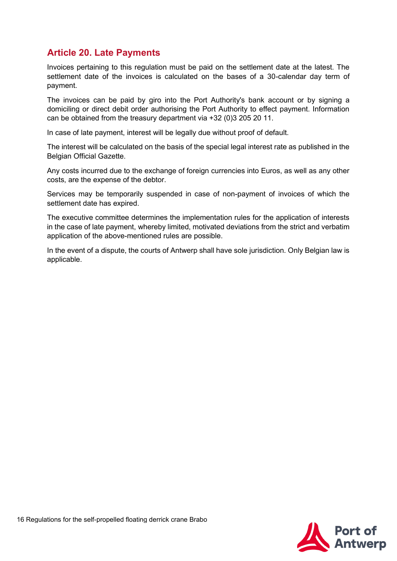## <span id="page-15-0"></span>**Article 20. Late Payments**

Invoices pertaining to this regulation must be paid on the settlement date at the latest. The settlement date of the invoices is calculated on the bases of a 30-calendar day term of payment.

The invoices can be paid by giro into the Port Authority's bank account or by signing a domiciling or direct debit order authorising the Port Authority to effect payment. Information can be obtained from the treasury department via +32 (0)3 205 20 11.

In case of late payment, interest will be legally due without proof of default.

The interest will be calculated on the basis of the special legal interest rate as published in the Belgian Official Gazette.

Any costs incurred due to the exchange of foreign currencies into Euros, as well as any other costs, are the expense of the debtor.

Services may be temporarily suspended in case of non-payment of invoices of which the settlement date has expired.

The executive committee determines the implementation rules for the application of interests in the case of late payment, whereby limited, motivated deviations from the strict and verbatim application of the above-mentioned rules are possible.

In the event of a dispute, the courts of Antwerp shall have sole jurisdiction. Only Belgian law is applicable.

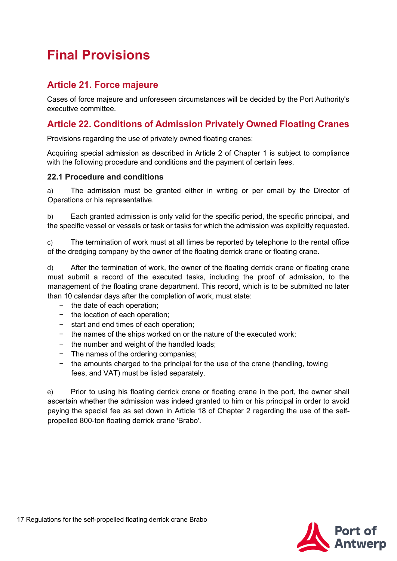## <span id="page-16-0"></span>**Final Provisions**

#### <span id="page-16-1"></span>**Article 21. Force majeure**

Cases of force majeure and unforeseen circumstances will be decided by the Port Authority's executive committee.

## <span id="page-16-2"></span>**Article 22. Conditions of Admission Privately Owned Floating Cranes**

Provisions regarding the use of privately owned floating cranes:

Acquiring special admission as described in Article 2 of Chapter 1 is subject to compliance with the following procedure and conditions and the payment of certain fees.

#### <span id="page-16-3"></span>**22.1 Procedure and conditions**

a) The admission must be granted either in writing or per email by the Director of Operations or his representative.

b) Each granted admission is only valid for the specific period, the specific principal, and the specific vessel or vessels or task or tasks for which the admission was explicitly requested.

c) The termination of work must at all times be reported by telephone to the rental office of the dredging company by the owner of the floating derrick crane or floating crane.

d) After the termination of work, the owner of the floating derrick crane or floating crane must submit a record of the executed tasks, including the proof of admission, to the management of the floating crane department. This record, which is to be submitted no later than 10 calendar days after the completion of work, must state:

- − the date of each operation;
- − the location of each operation;
- − start and end times of each operation;
- − the names of the ships worked on or the nature of the executed work;
- − the number and weight of the handled loads;
- − The names of the ordering companies;
- − the amounts charged to the principal for the use of the crane (handling, towing fees, and VAT) must be listed separately.

e) Prior to using his floating derrick crane or floating crane in the port, the owner shall ascertain whether the admission was indeed granted to him or his principal in order to avoid paying the special fee as set down in Article 18 of Chapter 2 regarding the use of the selfpropelled 800-ton floating derrick crane 'Brabo'.